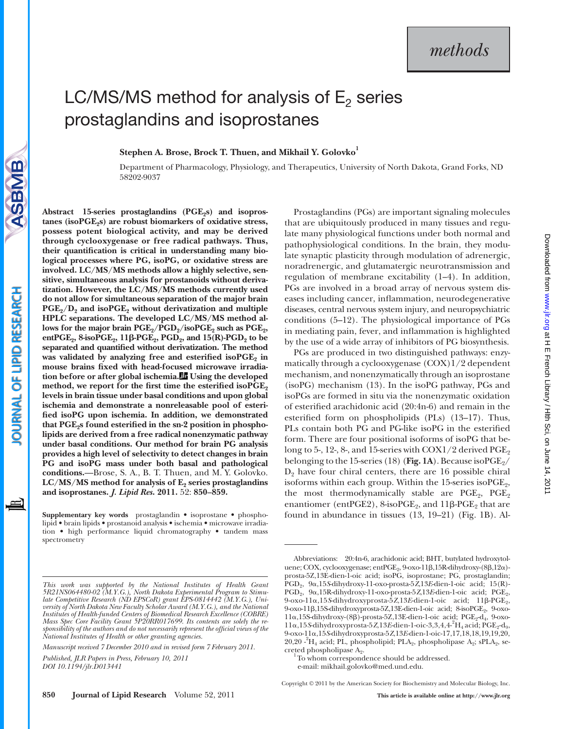# LC/MS/MS method for analysis of  $E_2$  series prostaglandins and isoprostanes

Stephen A. Brose, Brock T. Thuen, and Mikhail Y. Golovko<sup>1</sup>

Department of Pharmacology, Physiology, and Therapeutics, University of North Dakota, Grand Forks, ND 58202-9037

ASBMB

tanes (isoPGE<sub>2</sub>s) are robust biomarkers of oxidative stress, **possess potent biological activity, and may be derived through cyclooxygenase or free radical pathways. Thus,**  their quantification is critical in understanding many bio**logical processes where PG, isoPG, or oxidative stress are involved. LC/MS/MS methods allow a highly selective, sensitive, simultaneous analysis for prostanoids without derivatization. However, the LC/MS/MS methods currently used do not allow for simultaneous separation of the major brain**  PGE<sub>2</sub>/D<sub>2</sub> and isoPGE<sub>2</sub> without derivatization and multiple **HPLC separations. The developed LC/MS/MS method al**lows for the major brain  $PGE_2/PGD_2$ /isoPGE<sub>2</sub> such as PGE<sub>2</sub>, **entPGE**<sub>2</sub>, 8-isoPGE<sub>2</sub>, 11β-PGE<sub>2</sub>, PGD<sub>2</sub>, and 15(R)-PGD<sub>2</sub> to be separated and quantified without derivatization. The method was validated by analyzing free and esterified isoPGE<sub>2</sub> in mouse brains fixed with head-focused microwave irradia**tion before or after global ischemia. Using the developed**  method, we report for the first time the esterified isoPGE<sub>2</sub> **levels in brain tissue under basal conditions and upon global ischemia and demonstrate a nonreleasable pool of esteri**fied isoPG upon ischemia. In addition, we demonstrated that PGE<sub>2</sub>s found esterified in the sn-2 position in phospho**lipids are derived from a free radical nonenzymatic pathway under basal conditions. Our method for brain PG analysis provides a high level of selectivity to detect changes in brain PG and isoPG mass under both basal and pathological conditions.**—Brose, S. A., B. T. Thuen, and M. Y. Golovko.  $LC/MS/MS$  method for analysis of  $E_2$  series prostaglandins **and isoprostanes.** *J. Lipid Res* **. 2011.** 52: **850–859.**

Abstract 15-series prostaglandins (PGE<sub>2</sub>s) and isopros-

**Supplementary key words** prostaglandin • isoprostane • phospholipid • brain lipids • prostanoid analysis • ischemia • microwave irradiation • high performance liquid chromatography • tandem mass spectrometry

*Manuscript received 7 December 2010 and in revised form 7 February 2011.* 

 *Published, JLR Papers in Press, February 10, 2011 DOI 10.1194/jlr.D013441* 

Prostaglandins (PGs) are important signaling molecules that are ubiquitously produced in many tissues and regulate many physiological functions under both normal and pathophysiological conditions. In the brain, they modulate synaptic plasticity through modulation of adrenergic, noradrenergic, and glutamatergic neurotransmission and regulation of membrane excitability  $(1-4)$ . In addition, PGs are involved in a broad array of nervous system diseases including cancer, inflammation, neurodegenerative diseases, central nervous system injury, and neuropsychiatric conditions  $(5-12)$ . The physiological importance of PGs in mediating pain, fever, and inflammation is highlighted by the use of a wide array of inhibitors of PG biosynthesis.

PGs are produced in two distinguished pathways: enzymatically through a cyclooxygenase (COX)1/2 dependent mechanism, and nonenzymatically through an isoprostane  $(isoPG)$  mechanism  $(13)$ . In the isoPG pathway, PGs and isoPGs are formed in situ via the nonenzymatic oxidation of esterified arachidonic acid  $(20:4n-6)$  and remain in the esterified form on phospholipids  $(PLs)$   $(13-17)$ . Thus, PLs contain both PG and PG-like isoPG in the esterified form. There are four positional isoforms of isoPG that belong to 5-, 12-, 8-, and 15-series with COX1/2 derived  $\mathrm{PGE}_2$ belonging to the 15-series (18) (Fig. 1A). Because isoPGE<sub>2</sub>/  $D_2$  have four chiral centers, there are 16 possible chiral isoforms within each group. Within the  $15$ -series iso $PGE_2$ , the most thermodynamically stable are  $PGE_2$ ,  $PGE_2$ enantiomer (ent $\text{PGE2}$ ), 8-iso $\text{PGE}_2$ , and  $11\beta\text{-PGE}_2$  that are found in abundance in tissues  $(13, 19-21)$  (Fig. 1B). Al-

<sup>1</sup>To whom correspondence should be addressed.

e-mail: mikhail.golovko@med.und.edu .

Copyright © 2011 by the American Society for Biochemistry and Molecular Biology, Inc.

*This work was supported by the National Institutes of Health Grant 5R21NS064480-02 (M.Y.G.), North Dakota Experimental Program to Stimulate Competitive Research (ND EPSCoR) grant EPS-0814442 (M.Y.G.), Uni*versity of North Dakota New Faculty Scholar Award (M.Y.G.), and the National *Institutes of Health-funded Centers of Biomedical Research Excellence (COBRE) Mass Spec Core Facility Grant 5P20RR017699. Its contents are solely the re*sponsibility of the authors and do not necessarily represent the official views of the *National Institutes of Health or other granting agencies .* 

Abbreviations: 20:4n-6, arachidonic acid; BHT, butylated hydroxytoluene; COX, cyclooxygenase; ent $\mathrm{PGE}_2$ , 9-oxo-11 $\beta$ ,15R-dihydroxy-(8 $\beta$ ,12 $\alpha$ )prosta-5Z,13E-dien-1-oic acid; isoPG, isoprostane; PG, prostaglandin; PGD<sub>2</sub>, 9α,15 *S* dihydroxy-11-oxo-prosta-5 *Z*,13 *E*-dien-1-oic acid; 15 (R)-PGD<sub>2</sub>, 9 a, 15R-dihydroxy-11-oxo-prosta-5 *Z*, 13E-dien-1-oic acid; PGE<sub>2</sub>, 9-oxo-11α,15S-dihydroxyprosta-5Z,13E-dien-1-oic acid; 11β-PGE<sub>2</sub>, 9-oxo-11β,15S-dihydroxyprosta-5Z,13E-dien-1-oic acid; 8-isoPGE<sub>2</sub>, 9-oxo-11α,15S-dihydroxy-(8β)-prosta-5Z,13E-dien-1-oic acid; PGE<sub>2</sub>-d<sub>4</sub>, 9-oxo-11α,15S-dihydroxyprosta-5Z,13E-dien-1-oic-3,3,4,4<sup>-2</sup>H<sub>4</sub> acid; PGE<sub>2</sub>-d<sub>9</sub>, 9-oxo-11 ,15 *S*-dihydroxyprosta-5 *Z*,13 *E*-dien-1-oic-17,17,18,18,19,19,20, 20,20  $\text{-}^{2}H_{4}$  acid; PL, phospholipid; PLA<sub>2</sub>, phospholipase A<sub>2</sub>; sPLA<sub>2</sub>, secreted phospholipase  $A_2$ .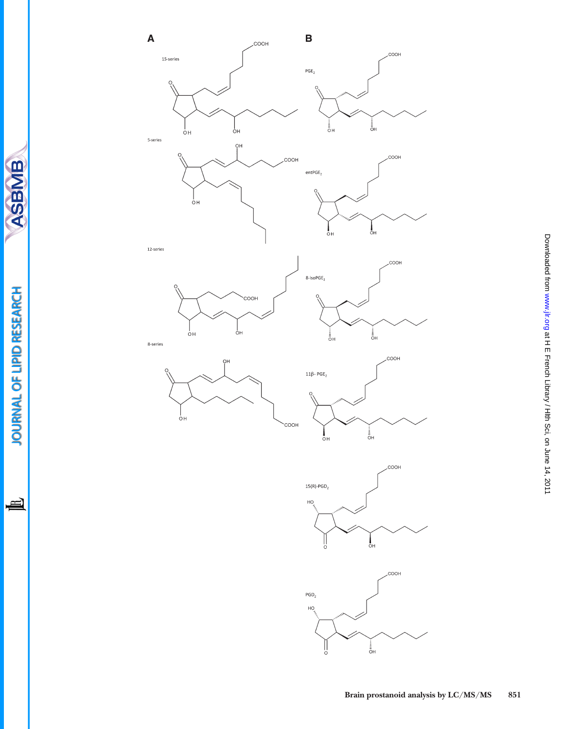

 $\frac{1}{\circ}$ <sub>DH</sub>

JOURNAL OF LIPID RESEARCH

山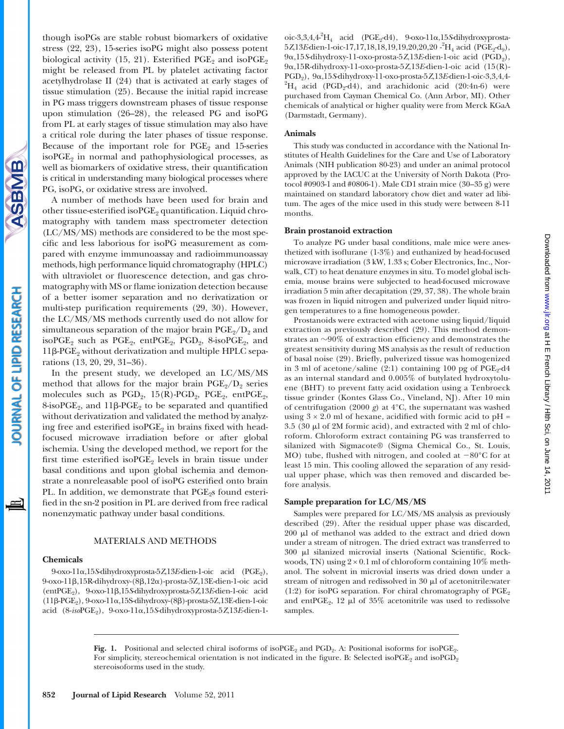

though isoPGs are stable robust biomarkers of oxidative stress (22, 23), 15-series isoPG might also possess potent biological activity (15, 21). Esterified  $PGE_2$  and iso $PGE_2$ might be released from PL by platelet activating factor acetylhydrolase II (24) that is activated at early stages of tissue stimulation (25). Because the initial rapid increase in PG mass triggers downstream phases of tissue response upon stimulation  $(26-28)$ , the released PG and isoPG from PL at early stages of tissue stimulation may also have a critical role during the later phases of tissue response. Because of the important role for  $PGE_2$  and 15-series iso $PGE_2$  in normal and pathophysiological processes, as well as biomarkers of oxidative stress, their quantification is critical in understanding many biological processes where PG, isoPG, or oxidative stress are involved.

A number of methods have been used for brain and other tissue-esterified isoPGE<sub>2</sub> quantification. Liquid chromatography with tandem mass spectrometer detection (LC/MS/MS) methods are considered to be the most specific and less laborious for isoPG measurement as compared with enzyme immunoassay and radioimmunoassay methods, high performance liquid chromatography (HPLC) with ultraviolet or fluorescence detection, and gas chromatography with MS or flame ionization detection because of a better isomer separation and no derivatization or multi-step purification requirements (29, 30). However, the LC/MS/MS methods currently used do not allow for simultaneous separation of the major brain  $PGE_2/D_2$  and isoPGE<sub>2</sub> such as PGE<sub>2</sub>, entPGE<sub>2</sub>, PGD<sub>2</sub>, 8-isoPGE<sub>2</sub>, and  $11\beta$ -PGE<sub>2</sub> without derivatization and multiple HPLC separations (13, 20, 29, 31–36).

In the present study, we developed an LC/MS/MS method that allows for the major brain  $PGE_2/D_2$  series molecules such as  $PGD_2$ ,  $15(R)-PGD_2$ ,  $PGE_2$ ,  $entPGE_2$ ,  $8$ -isoPGE<sub>2</sub>, and  $11\beta$ -PGE<sub>2</sub> to be separated and quantified without derivatization and validated the method by analyzing free and esterified isoPGE<sub>2</sub> in brains fixed with headfocused microwave irradiation before or after global ischemia. Using the developed method, we report for the first time esterified iso $PGE_2$  levels in brain tissue under basal conditions and upon global ischemia and demonstrate a nonreleasable pool of isoPG esterified onto brain PL. In addition, we demonstrate that PGE<sub>2</sub>s found esterified in the sn-2 position in PL are derived from free radical nonenzymatic pathway under basal conditions.

## MATERIALS AND METHODS

#### **Chemicals**

9-oxo-11α,15S-dihydroxyprosta-5Z,13E-dien-1-oic acid (PGE<sub>2</sub>), 9-oxo-11β,15R-dihydroxy-(8β,12α)-prosta-5Z,13E-dien-1-oic acid (entPGE<sub>2</sub>), 9-oxo-11β,15S-dihydroxyprosta-5Z,13E-dien-1-oic acid  $(11β-PGE<sub>2</sub>), 9-oxo-11α,15S-dihydroxy-(8β)-prosta-5Z,13E-dien-1-oic$ acid (8-*iso*PGE<sub>2</sub>), 9-oxo-11α,15S-dihydroxyprosta-5Z,13E-dien-1-

## **Animals**

This study was conducted in accordance with the National Institutes of Health Guidelines for the Care and Use of Laboratory Animals (NIH publication 80-23) and under an animal protocol approved by the IACUC at the University of North Dakota (Protocol #0903-1 and #0806-1). Male CD1 strain mice (30–35 g) were maintained on standard laboratory chow diet and water ad libitum. The ages of the mice used in this study were between 8-11 months.

## **Brain prostanoid extraction**

To analyze PG under basal conditions, male mice were anesthetized with isoflurane  $(1-3\%)$  and euthanized by head-focused microwave irradiation (3 kW, 1.33 s; Cober Electronics, Inc., Norwalk, CT) to heat denature enzymes in situ. To model global ischemia, mouse brains were subjected to head-focused microwave irradiation 5 min after decapitation (29, 37, 38). The whole brain was frozen in liquid nitrogen and pulverized under liquid nitrogen temperatures to a fine homogeneous powder.

Prostanoids were extracted with acetone using liquid/liquid extraction as previously described (29). This method demonstrates an  $\sim$ 90% of extraction efficiency and demonstrates the greatest sensitivity during MS analysis as the result of reduction of basal noise (29). Briefly, pulverized tissue was homogenized in 3 ml of acetone/saline (2:1) containing 100 pg of  $PGE_2-d4$ as an internal standard and 0.005% of butylated hydroxytoluene (BHT) to prevent fatty acid oxidation using a Tenbroeck tissue grinder (Kontes Glass Co., Vineland, NJ). After 10 min of centrifugation (2000 *g*) at 4°C, the supernatant was washed using  $3 \times 2.0$  ml of hexane, acidified with formic acid to pH =  $3.5$  (30  $\mu$ l of 2M formic acid), and extracted with 2 ml of chloroform. Chloroform extract containing PG was transferred to silanized with Sigmacote® (Sigma Chemical Co., St. Louis, MO) tube, flushed with nitrogen, and cooled at  $-80^{\circ}$ C for at least 15 min. This cooling allowed the separation of any residual upper phase, which was then removed and discarded before analysis.

### **Sample preparation for LC/MS/MS**

Samples were prepared for LC/MS/MS analysis as previously described (29). After the residual upper phase was discarded,  $200 \mu l$  of methanol was added to the extract and dried down under a stream of nitrogen. The dried extract was transferred to  $300$   $\mu$ l silanized microvial inserts (National Scientific, Rockwoods, TN) using  $2 \times 0.1$  ml of chloroform containing 10% methanol. The solvent in microvial inserts was dried down under a stream of nitrogen and redissolved in 30  $\upmu l$  of acetonitrile:water (1:2) for isoPG separation. For chiral chromatography of  $PGE_2$ and ent $PGE_2$ , 12 µl of 35% acetonitrile was used to redissolve samples.

**Fig.** 1. Positional and selected chiral isoforms of isoPGE<sub>2</sub> and PGD<sub>2</sub>. A: Positional isoforms for isoPGE<sub>2</sub>. For simplicity, stereochemical orientation is not indicated in the figure. B: Selected isoPGE<sub>2</sub> and isoPGD<sub>2</sub> stereoisoforms used in the study.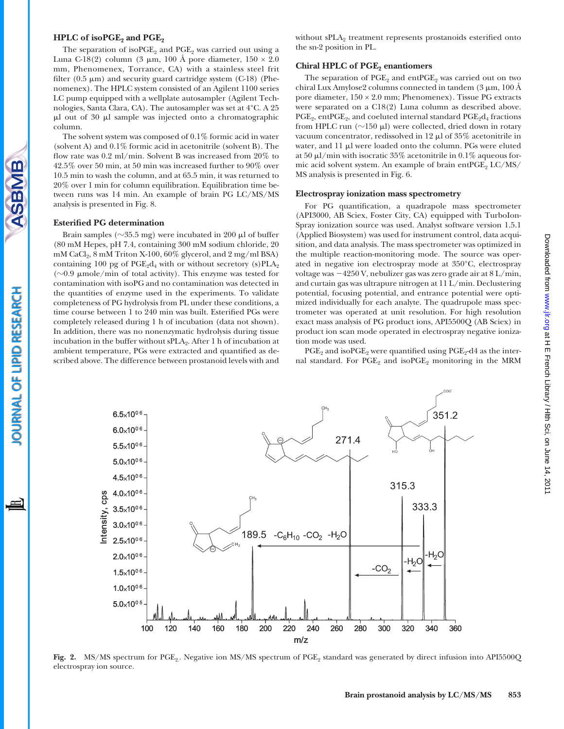#### **HPLC** of isoPGE<sub>2</sub> and PGE<sub>2</sub>

The separation of iso $PGE_2$  and  $PGE_2$  was carried out using a Luna C-18(2) column (3  $\mu$ m, 100 Å pore diameter, 150  $\times$  2.0 mm, Phenomenex, Torrance, CA) with a stainless steel frit filter  $(0.5 \mu m)$  and security guard cartridge system  $(C-18)$  (Phenomenex). The HPLC system consisted of an Agilent 1100 series LC pump equipped with a wellplate autosampler (Agilent Technologies, Santa Clara, CA). The autosampler was set at 4°C. A 25  $\mu$ l out of 30  $\mu$ l sample was injected onto a chromatographic column.

The solvent system was composed of 0.1% formic acid in water (solvent A) and 0.1% formic acid in acetonitrile (solvent B). The flow rate was 0.2 ml/min. Solvent B was increased from 20% to 42.5% over 50 min, at 50 min was increased further to 90% over 10.5 min to wash the column, and at 65.5 min, it was returned to 20% over 1 min for column equilibration. Equilibration time between runs was 14 min. An example of brain PG LC/MS/MS analysis is presented in Fig. 8 .

#### **Esterified PG determination**

Brain samples ( $\sim$ 35.5 mg) were incubated in 200  $\mu$ l of buffer (80 mM Hepes, pH 7.4, containing 300 mM sodium chloride, 20 mM CaCl<sub>2</sub>, 8 mM Triton X-100, 60% glycerol, and 2 mg/ml BSA) containing 100 pg of  $PGE_2d_4$  with or without secretory (s)  $PLA_2$ ( $\sim$ 0.9 µmole/min of total activity). This enzyme was tested for contamination with isoPG and no contamination was detected in the quantities of enzyme used in the experiments. To validate completeness of PG hydrolysis from PL under these conditions, a time course between 1 to 240 min was built. Esterified PGs were completely released during 1 h of incubation (data not shown). In addition, there was no nonenzymatic hydrolysis during tissue incubation in the buffer without  $sPLA_2$ . After 1 h of incubation at ambient temperature, PGs were extracted and quantified as described above. The difference between prostanoid levels with and

# **Chiral HPLC of PGE<sub>2</sub> enantiomers**

The separation of  $PGE_2$  and  $ent PGE_2$  was carried out on two chiral Lux Amylose2 columns connected in tandem  $(3 \mu m, 100 \text{\AA})$ pore diameter,  $150 \times 2.0$  mm; Phenomenex). Tissue PG extracts were separated on a C18(2) Luna column as described above.  $PGE_2$ , ent $PGE_2$ , and coeluted internal standard  $PGE_2d_4$  fractions from HPLC run  $(\sim]150 \text{ }\mu\text{)}$  were collected, dried down in rotary vacuum concentrator, redissolved in 12  $\mu$ l of 35% acetonitrile in water, and 11 µl were loaded onto the column. PGs were eluted at 50  $\mu$ l/min with isocratic 35% acetonitrile in 0.1% aqueous formic acid solvent system. An example of brain ent $PGE_2$  LC/MS/ MS analysis is presented in Fig. 6.

#### **Electrospray ionization mass spectrometry**

For PG quantification, a quadrapole mass spectrometer (API3000, AB Sciex, Foster City, CA) equipped with TurboIon-Spray ionization source was used. Analyst software version 1.5.1 (Applied Biosystem) was used for instrument control, data acquisition, and data analysis. The mass spectrometer was optimized in the multiple reaction-monitoring mode. The source was operated in negative ion electrospray mode at 350°C, electrospray voltage was 4250 V, nebulizer gas was zero grade air at 8 L/min, and curtain gas was ultrapure nitrogen at 11 L/min. Declustering potential, focusing potential, and entrance potential were optimized individually for each analyte. The quadrupole mass spectrometer was operated at unit resolution. For high resolution exact mass analysis of PG product ions, API5500Q (AB Sciex) in product ion scan mode operated in electrospray negative ionization mode was used.

 $PGE_2$  and iso $PGE_2$  were quantified using  $PGE_2-d4$  as the internal standard. For  $PGE_2$  and iso $PGE_2$  monitoring in the MRM

Fig. 2. MS/MS spectrum for PGE<sub>2</sub>. Negative ion MS/MS spectrum of PGE<sub>2</sub> standard was generated by direct infusion into API5500Q electrospray ion source.



**OURNAL OF LIPID RESEARCH**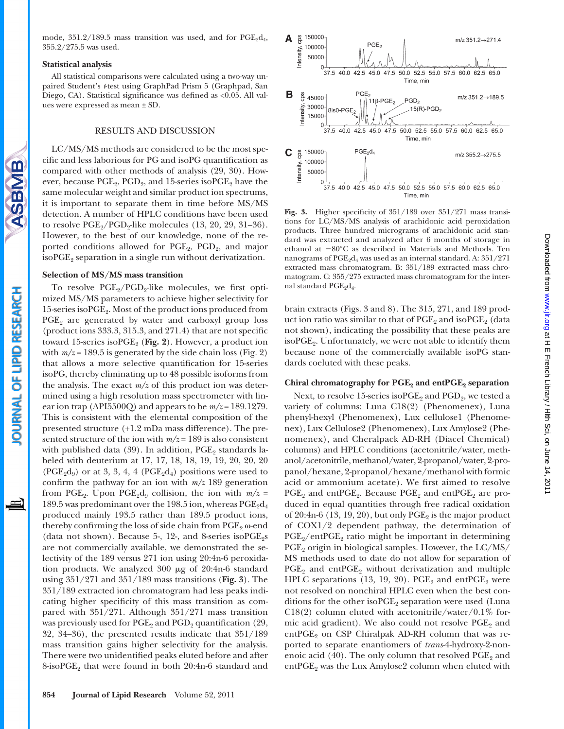mode,  $351.2/189.5$  mass transition was used, and for  $PGE_2d_4$ , 355.2/275.5 was used.

#### **Statistical analysis**

**SBMB** 

OURNAL OF LIPID RESEARCH

All statistical comparisons were calculated using a two-way unpaired Student's *t*-test using GraphPad Prism 5 (Graphpad, San Diego, CA). Statistical significance was defined as <0.05. All values were expressed as mean ± SD.

## RESULTS AND DISCUSSION

LC/MS/MS methods are considered to be the most specific and less laborious for PG and isoPG quantification as compared with other methods of analysis (29, 30). However, because  $PGE_2$ ,  $PGD_2$ , and 15-series iso $PGE_2$  have the same molecular weight and similar product ion spectrums, it is important to separate them in time before MS/MS detection. A number of HPLC conditions have been used to resolve  $PGE_2/PGD_2$ -like molecules  $(13, 20, 29, 31-36)$ . However, to the best of our knowledge, none of the reported conditions allowed for  $PGE_2$ ,  $PGD_2$ , and major iso $PGE_2$  separation in a single run without derivatization.

#### **Selection of MS/MS mass transition**

To resolve  $PGE_2/PGD_2$ -like molecules, we first optimized MS/MS parameters to achieve higher selectivity for 15-series isoPGE<sub>2</sub>. Most of the product ions produced from  $PGE<sub>2</sub>$  are generated by water and carboxyl group loss (product ions  $333.3$ ,  $315.3$ , and  $271.4$ ) that are not specific toward 15-series isoPGE<sub>2</sub> (Fig. 2). However, a product ion with  $m/z = 189.5$  is generated by the side chain loss (Fig. 2) that allows a more selective quantification for 15-series isoPG, thereby eliminating up to 48 possible isoforms from the analysis. The exact *m/z* of this product ion was determined using a high resolution mass spectrometer with linear ion trap (API5500Q) and appears to be  $m/z = 189.1279$ . This is consistent with the elemental composition of the presented structure (+1.2 mDa mass difference). The presented structure of the ion with *m/z* = 189 is also consistent with published data (39). In addition,  $PGE_2$  standards labeled with deuterium at 17, 17, 18, 18, 19, 19, 20, 20, 20  $(PGE<sub>2</sub>d<sub>9</sub>)$  or at 3, 3, 4, 4  $(PGE<sub>2</sub>d<sub>4</sub>)$  positions were used to confirm the pathway for an ion with  $m/z$  189 generation from PGE<sub>2</sub>. Upon PGE<sub>2</sub>d<sub>9</sub> collision, the ion with  $m/z =$ 189.5 was predominant over the 198.5 ion, whereas  $PGE_2d_4$ produced mainly 193.5 rather than 189.5 product ions, thereby confirming the loss of side chain from  $PGE_2$   $\omega$ -end (data not shown). Because 5-, 12-, and 8-series iso $PGE_2s$ are not commercially available, we demonstrated the selectivity of the 189 versus 271 ion using 20:4n-6 peroxidation products. We analyzed  $300 \mu g$  of  $20:4n-6$  standard using 351/271 and 351/189 mass transitions ( **Fig. 3**). The 351/189 extracted ion chromatogram had less peaks indicating higher specificity of this mass transition as compared with 351/271. Although 351/271 mass transition was previously used for  $PGE_2$  and  $PGD_2$  quantification (29, 32, 34–36), the presented results indicate that  $351/189$ mass transition gains higher selectivity for the analysis. There were two unidentified peaks eluted before and after 8-iso $PGE_2$  that were found in both 20:4n-6 standard and



Fig. 3. Higher specificity of  $351/189$  over  $351/271$  mass transitions for LC/MS/MS analysis of arachidonic acid peroxidation products. Three hundred micrograms of arachidonic acid standard was extracted and analyzed after 6 months of storage in ethanol at  $-80^{\circ}$ C as described in Materials and Methods. Ten nanograms of  $PGE_2d_4$  was used as an internal standard. A:  $351/271$ extracted mass chromatogram. B: 351/189 extracted mass chromatogram. C: 355/275 extracted mass chromatogram for the internal standard  $PGE_2d_4$ .

brain extracts (Figs. 3 and 8). The 315, 271, and 189 product ion ratio was similar to that of  $PGE_2$  and iso $PGE_2$  (data not shown), indicating the possibility that these peaks are isoPGE<sub>2</sub>. Unfortunately, we were not able to identify them because none of the commercially available isoPG standards coeluted with these peaks.

## Chiral chromatography for PGE<sub>2</sub> and entPGE<sub>2</sub> separation

Next, to resolve 15-series iso $PGE_2$  and  $PGD_2$ , we tested a variety of columns: Luna C18(2) (Phenomenex), Luna phenyl-hexyl (Phenomenex), Lux cellulose1 (Phenomenex), Lux Cellulose2 (Phenomenex), Lux Amylose2 (Phenomenex), and Cheralpack AD-RH (Diacel Chemical) columns) and HPLC conditions (acetonitrile/water, methanol/acetonitrile, methanol/water, 2-propanol/water, 2-propanol/hexane, 2-propanol/hexane/methanol with formic acid or ammonium acetate). We first aimed to resolve  $PGE_2$  and ent $PGE_2$ . Because  $PGE_2$  and ent $PGE_2$  are produced in equal quantities through free radical oxidation of 20:4n-6 (13, 19, 20), but only  $PGE_2$  is the major product of COX1/2 dependent pathway, the determination of  $PGE_2 / ent PGE_2$  ratio might be important in determining  $PGE<sub>2</sub>$  origin in biological samples. However, the  $LC/MS/$ MS methods used to date do not allow for separation of  $PGE_2$  and ent $PGE_2$  without derivatization and multiple HPLC separations (13, 19, 20). PGE<sub>2</sub> and entPGE<sub>2</sub> were not resolved on nonchiral HPLC even when the best conditions for the other iso $PGE_2$  separation were used (Luna C18(2) column eluted with acetonitrile/water/0.1% formic acid gradient). We also could not resolve  $PGE<sub>2</sub>$  and entPGE<sub>9</sub> on CSP Chiralpak AD-RH column that was reported to separate enantiomers of *trans* 4-hydroxy-2-nonenoic acid  $(40)$ . The only column that resolved PGE<sub>2</sub> and ent $PGE_2$  was the Lux Amylose2 column when eluted with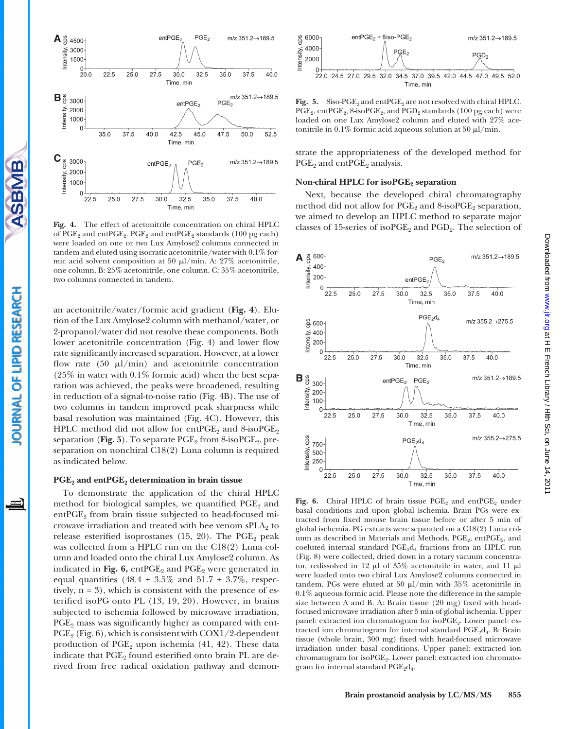

SBMB

OURNAL OF LIPID RESEARCH

**Fig. 4.** The effect of acetonitrile concentration on chiral HPLC of  $PGE_2$  and  $ent PGE_2$ .  $PGE_2$  and  $ent PGE_2$  standards (100 pg each) were loaded on one or two Lux Amylose2 columns connected in tandem and eluted using isocratic acetonitrile/water with 0.1% formic acid solvent composition at 50  $\mu$ l/min. A: 27% acetonitrile, one column. B: 25% acetonitrile, one column. C: 35% acetonitrile, two columns connected in tandem.

an acetonitrile/water/formic acid gradient (Fig. 4). Elution of the Lux Amylose2 column with methanol/water, or 2-propanol/water did not resolve these components. Both lower acetonitrile concentration (Fig. 4) and lower flow rate significantly increased separation. However, at a lower flow rate (50  $\mu$ l/min) and acetonitrile concentration  $(25\%$  in water with  $0.1\%$  formic acid) when the best separation was achieved, the peaks were broadened, resulting in reduction of a signal-to-noise ratio (Fig. 4B). The use of two columns in tandem improved peak sharpness while basal resolution was maintained (Fig. 4C). However, this HPLC method did not allow for entPGE<sub>2</sub> and 8-isoPGE<sub>2</sub> separation (Fig. 5). To separate PGE<sub>2</sub> from 8-isoPGE<sub>2</sub>, preseparation on nonchiral C18(2) Luna column is required as indicated below.

### PGE<sub>2</sub> and entPGE<sub>2</sub> determination in brain tissue

To demonstrate the application of the chiral HPLC method for biological samples, we quantified  $PGE_2$  and ent $PGE_2$  from brain tissue subjected to head-focused microwave irradiation and treated with bee venom  $sPLA_2$  to release esterified isoprostanes (15, 20). The  $PGE_2$  peak was collected from a HPLC run on the C18(2) Luna column and loaded onto the chiral Lux Amylose2 column. As indicated in Fig.  $6$ ,  $entPGE_2$  and  $PGE_2$  were generated in equal quantities (48.4  $\pm$  3.5% and 51.7  $\pm$  3.7%, respectively,  $n = 3$ ), which is consistent with the presence of esterified isoPG onto PL (13, 19, 20). However, in brains subjected to ischemia followed by microwave irradiation,  $PGE<sub>2</sub>$  mass was significantly higher as compared with ent- $PGE_2$  (Fig. 6), which is consistent with COX1/2-dependent production of  $PGE_2$  upon ischemia (41, 42). These data indicate that PGE<sub>2</sub> found esterified onto brain PL are derived from free radical oxidation pathway and demon-



Fig. 5. 8iso-PGE<sub>2</sub> and entPGE<sub>2</sub> are not resolved with chiral HPLC.  $PGE_2$ , ent $PGE_2$ , 8-iso $PGE_2$ , and  $PGD_2$  standards (100 pg each) were loaded on one Lux Amylose2 column and eluted with 27% acetonitrile in 0.1% formic acid aqueous solution at 50  $\mu$ l/min.

strate the appropriateness of the developed method for  $PGE$ <sub>2</sub> and ent $PGE$ <sub>2</sub> analysis.

# **Non-chiral HPLC for isoPGE<sub>2</sub> separation**

Next, because the developed chiral chromatography method did not allow for  $PGE_2$  and  $8$ -iso $PGE_2$  separation, we aimed to develop an HPLC method to separate major classes of 15-series of iso $PGE_2$  and  $PGD_2$ . The selection of



Fig. 6. Chiral HPLC of brain tissue PGE<sub>2</sub> and entPGE<sub>2</sub> under basal conditions and upon global ischemia. Brain PGs were extracted from fixed mouse brain tissue before or after 5 min of global ischemia. PG extracts were separated on a C18(2) Luna column as described in Materials and Methods.  $PGE_2$ , ent $PGE_2$ , and coeluted internal standard  $PGE_2d_4$  fractions from an HPLC run (Fig. 8) were collected, dried down in a rotary vacuum concentrator, redissolved in 12  $\mu$ l of 35% acetonitrile in water, and 11  $\mu$ l were loaded onto two chiral Lux Amylose2 columns connected in tandem. PGs were eluted at 50  $\mu$ l/min with 35% acetonitrile in 0.1% aqueous formic acid. Please note the difference in the sample size between A and B. A: Brain tissue  $(20 \text{ mg})$  fixed with headfocused microwave irradiation after 5 min of global ischemia. Upper panel: extracted ion chromatogram for isoPGE<sub>2</sub>. Lower panel: extracted ion chromatogram for internal standard  $PGE_9d_4$ . B: Brain tissue (whole brain, 300 mg) fixed with head-focused microwave irradiation under basal conditions. Upper panel: extracted ion chromatogram for isoPGE<sub>2</sub>. Lower panel: extracted ion chromatogram for internal standard  $PGE_2d_4$ .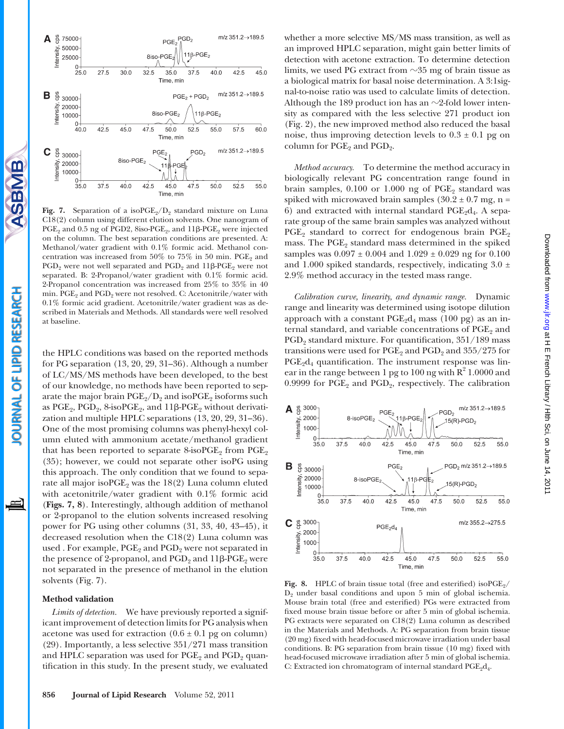



**Fig.** 7. Separation of a isoPGE<sub>2</sub>/D<sub>2</sub> standard mixture on Luna C18(2) column using different elution solvents. One nanogram of  $\mathrm{PGE}_2$  and 0.5 ng of PGD2, 8iso-PGE<sub>2</sub>, and  $11\beta\text{-PGE}_2$  were injected on the column. The best separation conditions are presented. A: Methanol/water gradient with 0.1% formic acid. Methanol concentration was increased from 50% to 75% in 50 min.  $PGE_2$  and PGD<sub>2</sub> were not well separated and PGD<sub>2</sub> and 11β-PGE<sub>2</sub> were not separated. B: 2-Propanol/water gradient with 0.1% formic acid. 2-Propanol concentration was increased from 25% to 35% in 40 min.  $\text{PGE}_2$  and  $\text{PGD}_2$  were not resolved. C: Acetonitrile/water with 0.1% formic acid gradient. Acetonitrile/water gradient was as described in Materials and Methods. All standards were well resolved at baseline.

the HPLC conditions was based on the reported methods for PG separation  $(13, 20, 29, 31-36)$ . Although a number of LC/MS/MS methods have been developed, to the best of our knowledge, no methods have been reported to separate the major brain  $PGE_2/D_2$  and iso $PGE_2$  isoforms such as  $\mathrm{PGE}_2$ ,  $\mathrm{PGD}_2$ ,  $8\text{-} \mathrm{isoPGE}_2$ , and  $11\beta\text{-} \mathrm{PGE}_2$  without derivatization and multiple HPLC separations  $(13, 20, 29, 31-36)$ . One of the most promising columns was phenyl-hexyl column eluted with ammonium acetate/methanol gradient that has been reported to separate  $8$ -iso $PGE_2$  from  $PGE_2$ (35); however, we could not separate other isoPG using this approach. The only condition that we found to separate all major iso $PGE_2$  was the 18(2) Luna column eluted with acetonitrile/water gradient with 0.1% formic acid ( **Figs. 7, 8**). Interestingly, although addition of methanol or 2-propanol to the elution solvents increased resolving power for PG using other columns (31, 33, 40, 43–45), it decreased resolution when the C18(2) Luna column was used . For example,  $PGE_2$  and  $PGD_2$  were not separated in the presence of 2-propanol, and  $\mathrm{PGD}_2$  and  $11\beta\text{-} \mathrm{PGE}_2$  were not separated in the presence of methanol in the elution solvents (Fig. 7).

#### **Method validation**

SBMB

OURNAL OF LIPID RESEARCH

 $\equiv$ 

*Limits of detection.* We have previously reported a significant improvement of detection limits for PG analysis when acetone was used for extraction  $(0.6 \pm 0.1)$  pg on column) (29). Importantly, a less selective  $351/271$  mass transition and HPLC separation was used for  $PGE_2$  and  $PGD_2$  quantification in this study. In the present study, we evaluated whether a more selective MS/MS mass transition, as well as an improved HPLC separation, might gain better limits of detection with acetone extraction. To determine detection limits, we used PG extract from  $\sim$ 35 mg of brain tissue as a biological matrix for basal noise determination. A 3:1signal-to-noise ratio was used to calculate limits of detection. Although the  $189$  product ion has an  $\sim$ 2-fold lower intensity as compared with the less selective 271 product ion (Fig. 2), the new improved method also reduced the basal noise, thus improving detection levels to  $0.3 \pm 0.1$  pg on column for  $PGE_2$  and  $PGD_2$ .

*Method accuracy.* To determine the method accuracy in biologically relevant PG concentration range found in brain samples,  $0.100$  or  $1.000$  ng of PGE<sub>2</sub> standard was spiked with microwaved brain samples  $(30.2 \pm 0.7 \text{ mg}, \text{n} =$ 6) and extracted with internal standard  $PGE<sub>2</sub>d<sub>4</sub>$ . A separate group of the same brain samples was analyzed without  $PGE_2$  standard to correct for endogenous brain  $PGE_2$ mass. The  $PGE_2$  standard mass determined in the spiked samples was  $0.097 \pm 0.004$  and  $1.029 \pm 0.029$  ng for  $0.100$ and 1.000 spiked standards, respectively, indicating  $3.0 \pm$ 2.9% method accuracy in the tested mass range.

*Calibration curve, linearity, and dynamic range.* Dynamic range and linearity was determined using isotope dilution approach with a constant  $PGE<sub>2</sub>d<sub>4</sub>$  mass (100 pg) as an internal standard, and variable concentrations of  $PGE<sub>2</sub>$  and PGD<sub>2</sub> standard mixture. For quantification, 351/189 mass transitions were used for  $\text{PGE}_2$  and  $\text{PGD}_2$  and  $355/275$  for  $PGE<sub>2</sub>d<sub>4</sub>$  quantification. The instrument response was linear in the range between 1 pg to 100 ng with  $R^2$  1.0000 and 0.9999 for  $PGE_2$  and  $PGD_2$ , respectively. The calibration



**Fig. 8.** HPLC of brain tissue total (free and esterified) iso  $PGE_2$ /  $D_2$  under basal conditions and upon 5 min of global ischemia. Mouse brain total (free and esterified) PGs were extracted from fixed mouse brain tissue before or after 5 min of global ischemia. PG extracts were separated on C18(2) Luna column as described in the Materials and Methods. A: PG separation from brain tissue (20 mg) fixed with head-focused microwave irradiation under basal conditions. B: PG separation from brain tissue (10 mg) fixed with head-focused microwave irradiation after 5 min of global ischemia. C: Extracted ion chromatogram of internal standard  $PGE<sub>2</sub>d<sub>4</sub>$ .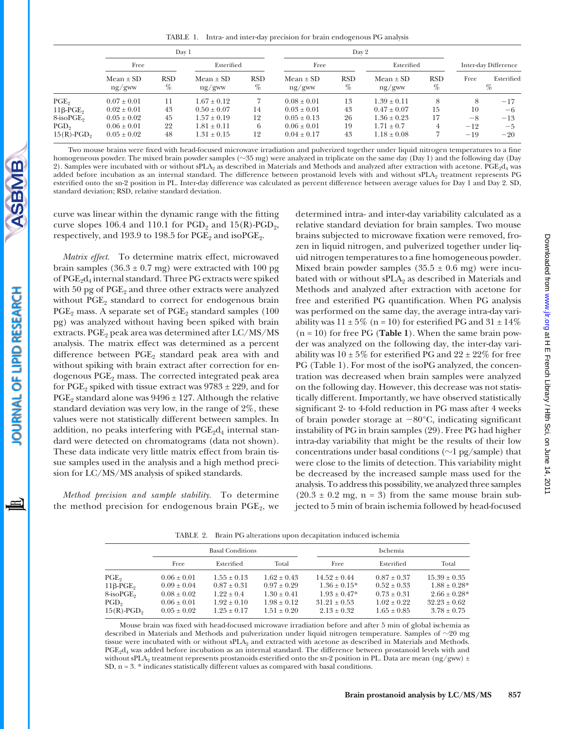TABLE 1. Intra- and inter-day precision for brain endogenous PG analysis

|                           | Day 1                   |                 |                         |                 | Day 2                   |                 |                         |                 |                      |                 |
|---------------------------|-------------------------|-----------------|-------------------------|-----------------|-------------------------|-----------------|-------------------------|-----------------|----------------------|-----------------|
|                           | Free                    |                 | Esterified              |                 | Free                    |                 | Esterified              |                 | Inter-day Difference |                 |
|                           | $Mean \pm SD$<br>ng/gww | <b>RSD</b><br>% | $Mean \pm SD$<br>ng/gww | <b>RSD</b><br>% | $Mean \pm SD$<br>ng/gww | <b>RSD</b><br>% | $Mean \pm SD$<br>ng/gww | <b>RSD</b><br>% | Free                 | Esterified<br>% |
| $PGE_{2}$                 | $0.07 \pm 0.01$         | 11              | $1.67 \pm 0.12$         |                 | $0.08 \pm 0.01$         | 13              | $1.39 \pm 0.11$         |                 |                      | $-17$           |
| $11\beta$ -PGE,           | $0.02 \pm 0.01$         | 43              | $0.50 \pm 0.07$         | 14              | $0.03 \pm 0.01$         | 43              | $0.47 \pm 0.07$         | 15              | 10                   | -6              |
| 8-isoPGE <sub>2</sub>     | $0.05 \pm 0.02$         | 45              | $1.57 \pm 0.19$         | 12              | $0.05 + 0.13$           | 26              | $1.36 \pm 0.23$         | 17              | $-8$                 | $-13$           |
| PGD <sub>9</sub>          | $0.06 \pm 0.01$         | 22              | $1.81 \pm 0.11$         | 6               | $0.06 \pm 0.01$         | 19              | $1.71 + 0.7$            | 4               | $-12$                | $-5$            |
| $15(R)$ -PGD <sub>2</sub> | $0.05 \pm 0.02$         | 48              | $1.31 \pm 0.15$         | 12              | $0.04 \pm 0.17$         | 43              | $1.18 \pm 0.08$         |                 | $-19$                | $-20$           |

Two mouse brains were fixed with head-focused microwave irradiation and pulverized together under liquid nitrogen temperatures to a fine homogeneous powder. The mixed brain powder samples (~35 mg) were analyzed in triplicate on the same day (Day 1) and the following day (Day 2). Samples were incubated with or without sPLA<sub>2</sub> as described in Materials and Methods and analyzed after extraction with acetone. PGE<sub>2</sub>d<sub>4</sub> was added before incubation as an internal standard. The difference between prostanoid levels with and without sPLA<sub>2</sub> treatment represents PG esterified onto the sn-2 position in PL. Inter-day difference was calculated as percent difference between average values for Day 1 and Day 2. SD, standard deviation; RSD, relative standard deviation .

curve was linear within the dynamic range with the fitting curve slopes 106.4 and 110.1 for  $PGD<sub>2</sub>$  and  $15(R)$ - $PGD<sub>2</sub>$ , respectively, and 193.9 to 198.5 for  $PGE_2$  and iso $PGE_2$ .

*Matrix effect.* To determine matrix effect, microwaved brain samples  $(36.3 \pm 0.7 \text{ mg})$  were extracted with 100 pg of  $PGE_2d_4$  internal standard. Three PG extracts were spiked with  $50$  pg of PGE<sub>2</sub> and three other extracts were analyzed without  $PGE_2$  standard to correct for endogenous brain  $PGE_2$  mass. A separate set of  $PGE_2$  standard samples (100) pg) was analyzed without having been spiked with brain extracts.  $PGE_2$  peak area was determined after  $LC/MS/MS$ analysis. The matrix effect was determined as a percent difference between  $PGE_2$  standard peak area with and without spiking with brain extract after correction for endogenous PGE<sub>2</sub> mass. The corrected integrated peak area for PGE<sub>2</sub> spiked with tissue extract was  $9783 \pm 229$ , and for  $PGE_2$  standard alone was  $9496 \pm 127$ . Although the relative standard deviation was very low, in the range of 2%, these values were not statistically different between samples. In addition, no peaks interfering with  $PGE<sub>2</sub>d<sub>4</sub>$  internal standard were detected on chromatograms (data not shown). These data indicate very little matrix effect from brain tissue samples used in the analysis and a high method precision for LC/MS/MS analysis of spiked standards.

*Method precision and sample stability.* To determine the method precision for endogenous brain  $PGE_2$ , we determined intra- and inter-day variability calculated as a relative standard deviation for brain samples. Two mouse brains subjected to microwave fixation were removed, frozen in liquid nitrogen, and pulverized together under liquid nitrogen temperatures to a fine homogeneous powder. Mixed brain powder samples  $(35.5 \pm 0.6 \text{ mg})$  were incubated with or without  $sPLA_2$  as described in Materials and Methods and analyzed after extraction with acetone for free and esterified PG quantification. When PG analysis was performed on the same day, the average intra-day variability was  $11 \pm 5\%$  (n = 10) for esterified PG and  $31 \pm 14\%$  $(n = 10)$  for free PG (**Table 1**). When the same brain powder was analyzed on the following day, the inter-day variability was  $10 \pm 5\%$  for esterified PG and  $22 \pm 22\%$  for free PG (Table 1). For most of the isoPG analyzed, the concentration was decreased when brain samples were analyzed on the following day. However, this decrease was not statistically different. Importantly, we have observed statistically significant 2- to 4-fold reduction in PG mass after 4 weeks of brain powder storage at  $-80^{\circ}$ C, indicating significant instability of PG in brain samples (29). Free PG had higher intra-day variability that might be the results of their low concentrations under basal conditions  $(\sim]$  pg/sample) that were close to the limits of detection. This variability might be decreased by the increased sample mass used for the analysis. To address this possibility, we analyzed three samples  $(20.3 \pm 0.2 \text{ mg}, \text{ n = 3})$  from the same mouse brain subjected to 5 min of brain ischemia followed by head-focused

TABLE 2. Brain PG alterations upon decapitation induced ischemia

|                                                                                                        |                                                                                       | <b>Basal Conditions</b>                                                            |                                                                                   | Ischemia                                                                              |                                                                                   |                                                                                       |  |
|--------------------------------------------------------------------------------------------------------|---------------------------------------------------------------------------------------|------------------------------------------------------------------------------------|-----------------------------------------------------------------------------------|---------------------------------------------------------------------------------------|-----------------------------------------------------------------------------------|---------------------------------------------------------------------------------------|--|
|                                                                                                        | Free                                                                                  | Esterified                                                                         | Total                                                                             | Free                                                                                  | Esterified                                                                        | Total                                                                                 |  |
| $PGE_{2}$<br>$11\beta$ -PGE,<br>8-isoPGE <sub>2</sub><br>PGD <sub>2</sub><br>$15(R)$ -PGD <sub>2</sub> | $0.06 + 0.01$<br>$0.09 + 0.04$<br>$0.08 \pm 0.02$<br>$0.06 \pm 0.01$<br>$0.05 + 0.02$ | $1.55 + 0.13$<br>$0.87 \pm 0.31$<br>$1.22 + 0.4$<br>$1.92 + 0.10$<br>$1.25 + 0.17$ | $1.62 + 0.43$<br>$0.97 + 0.29$<br>$1.30 + 0.41$<br>$1.98 + 0.12$<br>$1.51 + 0.20$ | $14.52 + 0.44$<br>$1.36 + 0.15*$<br>$1.93 + 0.47*$<br>$31.21 + 0.53$<br>$2.13 + 0.32$ | $0.87 + 0.37$<br>$0.52 + 0.33$<br>$0.73 + 0.31$<br>$1.02 + 0.22$<br>$1.65 + 0.85$ | $15.39 + 0.35$<br>$1.88 + 0.28*$<br>$2.66 + 0.28*$<br>$32.23 + 0.62$<br>$3.78 + 0.75$ |  |

Mouse brain was fixed with head-focused microwave irradiation before and after 5 min of global ischemia as described in Materials and Methods and pulverization under liquid nitrogen temperature. Samples of  $\sim$ 20 mg tissue were incubated with or without  $\overline{\text{sPLA}}_2$  and extracted with acetone as described in Materials and Methods. PGE<sub>2</sub>d<sub>4</sub> was added before incubation as an internal standard. The difference between prostanoid levels with and without sPLA<sub>2</sub> treatment represents prostanoids esterified onto the sn-2 position in PL. Data are mean (ng/gww) ± SD,  $n = 3$ . \* indicates statistically different values as compared with basal conditions.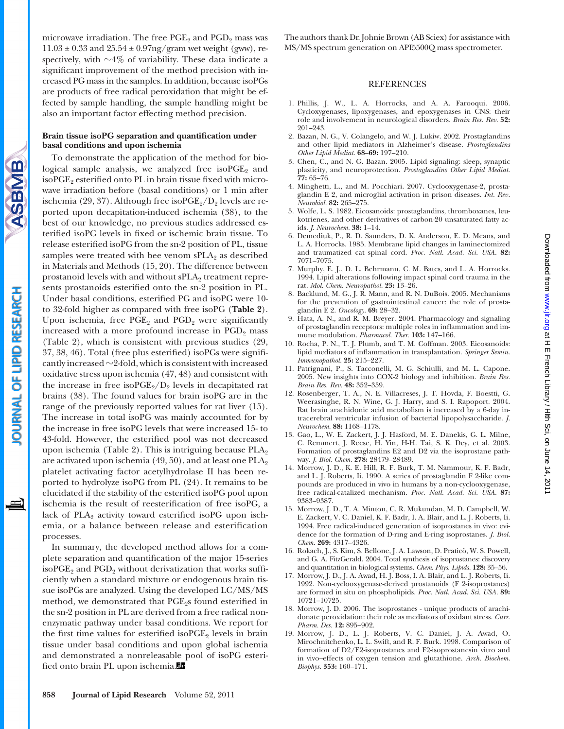microwave irradiation. The free  $PGE_2$  and  $PGD_2$  mass was  $11.03 \pm 0.33$  and  $25.54 \pm 0.97$ ng/gram wet weight (gww), respectively, with  ${\sim}4\%$  of variability. These data indicate a significant improvement of the method precision with increased PG mass in the samples. In addition, because isoPGs are products of free radical peroxidation that might be effected by sample handling, the sample handling might be also an important factor effecting method precision.

# Brain tissue isoPG separation and quantification under **basal conditions and upon ischemia**

To demonstrate the application of the method for biological sample analysis, we analyzed free iso $PGE_2$  and iso $PGE_2$  esterified onto PL in brain tissue fixed with microwave irradiation before (basal conditions) or 1 min after ischemia (29, 37). Although free iso $PGE_2/D_2$  levels are reported upon decapitation-induced ischemia (38), to the best of our knowledge, no previous studies addressed esterified isoPG levels in fixed or ischemic brain tissue. To release esterified isoPG from the sn-2 position of PL, tissue samples were treated with bee venom  $sPLA_2$  as described in Materials and Methods (15, 20). The difference between prostanoid levels with and without  $sPLA_2$  treatment represents prostanoids esterified onto the sn-2 position in PL. Under basal conditions, esterified PG and isoPG were 10to 32-fold higher as compared with free isoPG ( **Table 2** ). Upon ischemia, free  $PGE_2$  and  $PGD_2$  were significantly increased with a more profound increase in  $PGD<sub>2</sub>$  mass (Table 2), which is consistent with previous studies  $(29, 12)$ 37, 38, 46). Total (free plus esterified) isoPGs were significantly increased  $\sim$  2-fold, which is consistent with increased oxidative stress upon ischemia (47, 48) and consistent with the increase in free iso $PGE_2/D_2$  levels in decapitated rat brains (38). The found values for brain isoPG are in the range of the previously reported values for rat liver  $(15)$ . The increase in total isoPG was mainly accounted for by the increase in free isoPG levels that were increased 15- to 43-fold. However, the esterified pool was not decreased upon ischemia (Table 2). This is intriguing because  $PLA_2$ are activated upon ischemia (49, 50), and at least one  $PLA_2$ platelet activating factor acetylhydrolase II has been reported to hydrolyze isoPG from PL  $(24)$ . It remains to be elucidated if the stability of the esterified isoPG pool upon ischemia is the result of reesterification of free isoPG, a lack of PLA<sub>2</sub> activity toward esterified isoPG upon ischemia, or a balance between release and esterification processes.

In summary, the developed method allows for a complete separation and quantification of the major 15-series isoPGE<sub>2</sub> and PGD<sub>2</sub> without derivatization that works sufficiently when a standard mixture or endogenous brain tissue isoPGs are analyzed. Using the developed LC/MS/MS method, we demonstrated that PGE<sub>2</sub>s found esterified in the sn-2 position in PL are derived from a free radical nonenzymatic pathway under basal conditions. We report for the first time values for esterified iso $PGE$  levels in brain tissue under basal conditions and upon global ischemia and demonstrated a nonreleasable pool of isoPG esterified onto brain PL upon ischemia.

The authors thank Dr. Johnie Brown (AB Sciex) for assistance with MS/MS spectrum generation on API5500Q mass spectrometer.

## REFERENCES

- 1. Phillis, J. W., L. A. Horrocks, and A. A. Farooqui. 2006. Cycloxygenases, lipoxygenases, and epoxygenases in CNS: their role and involvement in neurological disorders. *Brain Res. Rev.* **52:**  $201 - 243$ .
- 2. Bazan, N. G., V. Colangelo, and W. J. Lukiw. 2002. Prostaglandins and other lipid mediators in Alzheimer's disease. *Prostaglandins Other Lipid Mediat.* **68-69:** 197-210.
- 3. Chen, C., and N. G. Bazan. 2005. Lipid signaling: sleep, synaptic plasticity, and neuroprotection. *Prostaglandins Other Lipid Mediat.* **77:** 65 – 76 .
- 4. Minghetti, L., and M. Pocchiari. 2007. Cyclooxygenase-2, prostaglandin E 2, and microglial activation in prison diseases. *Int. Rev. Neurobiol.* **82:** 265 – 275 .
- 5 . Wolfe , L. S. 1982 . Eicosanoids: prostaglandins, thromboxanes, leukotrienes, and other derivatives of carbon-20 unsaturated fatty acids. *J. Neurochem.* 38: 1-14.
- 6 . Demediuk , P. , R. D. Saunders , D. K. Anderson , E. D. Means , and L. A. Horrocks . 1985 . Membrane lipid changes in laminectomized and traumatized cat spinal cord. *Proc. Natl. Acad. Sci. USA.* **82:** 7071-7075.
- 7. Murphy, E. J., D. L. Behrmann, C. M. Bates, and L. A. Horrocks. 1994 . Lipid alterations following impact spinal cord trauma in the rat. *Mol. Chem. Neuropathol.* **23:** 13 – 26 .
- 8. Backlund, M. G., J. R. Mann, and R. N. DuBois. 2005. Mechanisms for the prevention of gastrointestinal cancer: the role of prostaglandin E 2. *Oncology.* **69:** 28 – 32 .
- 9. Hata, A. N., and R. M. Breyer. 2004. Pharmacology and signaling of prostaglandin receptors: multiple roles in inflammation and immune modulation. *Pharmacol. Ther.* 103: 147-166.
- 10. Rocha, P. N., T. J. Plumb, and T. M. Coffman. 2003. Eicosanoids: lipid mediators of inflammation in transplantation. Springer Semin. *Immunopathol.* **25:** 215 – 227 .
- 11. Patrignani, P., S. Tacconelli, M. G. Schiulli, and M. L. Capone. 2005 . New insights into COX-2 biology and inhibition. *Brain Res. Brain Res. Rev.* **48:** 352 – 359 .
- 12. Rosenberger, T. A., N. E. Villacreses, J. T. Hovda, F. Boestti, G. Weerasinghe, R. N. Wine, G. J. Harry, and S. I. Rapoport. 2004. Rat brain arachidonic acid metabolism is increased by a 6-day intracerebral ventricular infusion of bacterial lipopolysaccharide. *J. Neurochem.* **88:** 1168 – 1178 .
- 13. Gao, L., W. E. Zackert, J. J. Hasford, M. E. Danekis, G. L. Milne, C. Remmert, J. Reese, H. Yin, H-H. Tai, S. K. Dey, et al. 2003. Formation of prostaglandins E2 and D2 via the isoprostane pathway. *J. Biol. Chem.* **278:** 28479 – 28489 .
- 14. Morrow, J. D., K. E. Hill, R. F. Burk, T. M. Nammour, K. F. Badr, and L. J. Roberts, Ii. 1990. A series of prostaglandin F 2-like compounds are produced in vivo in humans by a non-cyclooxygenase, free radical-catalized mechanism. *Proc. Natl. Acad. Sci. USA.* **87:** 9383-9387.
- 15. Morrow, J. D., T. A. Minton, C. R. Mukundan, M. D. Campbell, W. E. Zackert, V. C. Daniel, K. F. Badr, I. A. Blair, and L. J. Roberts, Ii. 1994 . Free radical-induced generation of isoprostanes in vivo: evidence for the formation of D-ring and E-ring isoprostanes. *J. Biol. Chem.* **269:** 4317 – 4326 .
- 16. Rokach, J., S. Kim, S. Bellone, J. A. Lawson, D. Praticò, W. S. Powell, and G. A. FitzGerald. 2004. Total synthesis of isoprostanes: discovery and quantitation in biological systems. *Chem. Phys. Lipids*. **128:** 35-56.
- 17. Morrow, J. D., J. A. Awad, H. J. Boss, I. A. Blair, and L. J. Roberts, Ii. 1992 . Non-cyclooxygenase-derived prostanoids (F 2-isoprostanes) are formed in situ on phospholipids. *Proc. Natl. Acad. Sci. USA.* **89:** 10721-10725.
- 18. Morrow, J. D. 2006. The isoprostanes unique products of arachidonate peroxidation: their role as mediators of oxidant stress. *Curr.*  Pharm. Des. 12: 895-902.
- 19. Morrow, J. D., L. J. Roberts, V. C. Daniel, J. A. Awad, O. Mirochnitchenko, L. L. Swift, and R. F. Burk. 1998. Comparison of formation of D2/E2-isoprostanes and F2-isoprostanesin vitro and in vivo–effects of oxygen tension and glutathione. *Arch. Biochem.*   $Biophys.$  **353:** 160-171.

OURNAL OF LIPID RESEARCH